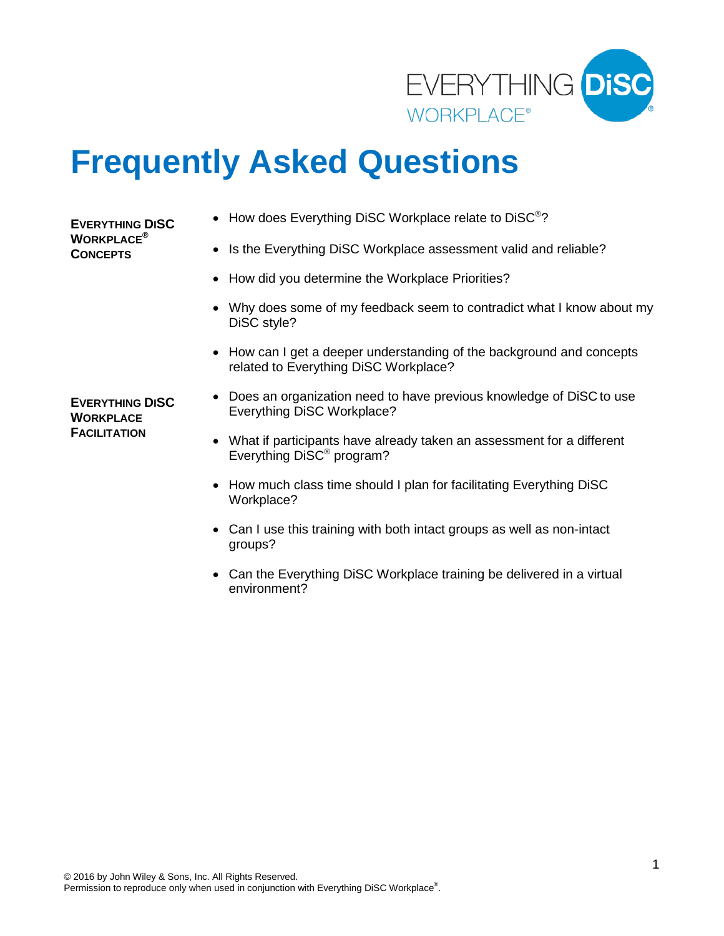

# **Frequently Asked Questions**

#### **EVERYTHING DISC WORKPLACE® CONCEPTS**

- How does Everything DiSC Workplace relate to DiSC<sup>®</sup>?
- Is the Everything DiSC Workplace assessment valid and reliable?
- How did you determine the Workplace Priorities?
- Why does some of my feedback seem to contradict what I know about my DiSC style?
- How can I get a deeper understanding of the background and concepts related to Everything DiSC Workplace?

**EVERYTHING DISC WORKPLACE FACILITATION** 

- Does an organization need to have previous knowledge of DiSC to use Everything DiSC Workplace?
- What if participants have already taken an assessment for a different Everything DiSC® program?
- How much class time should I plan for facilitating Everything DiSC Workplace?
- Can I use this training with both intact groups as well as non-intact groups?
- Can the Everything DiSC Workplace training be delivered in a virtual environment?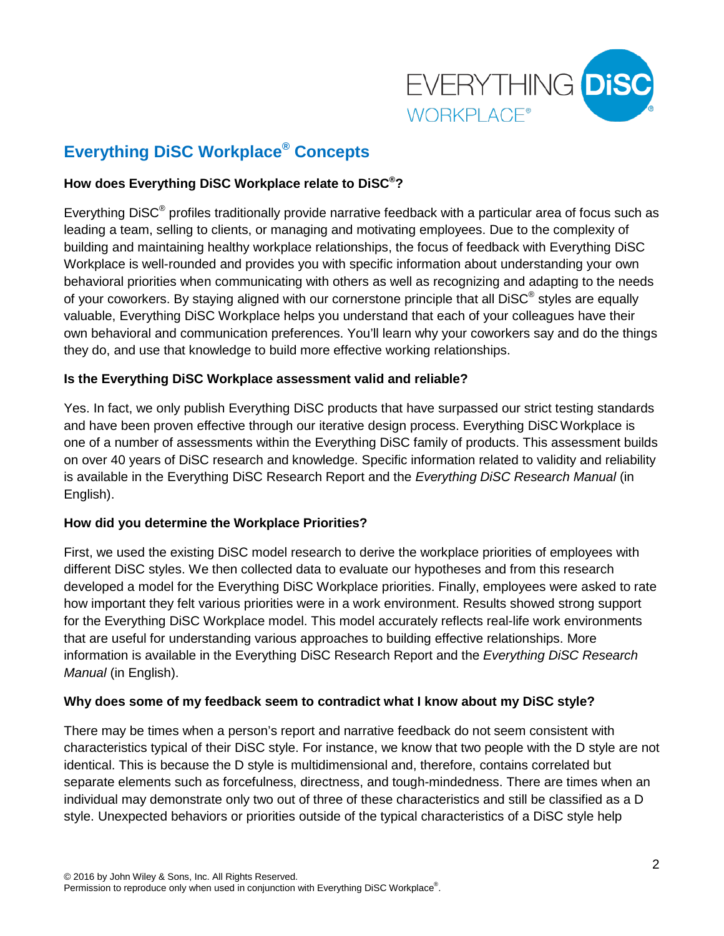

# **Everything DiSC Workplace® Concepts**

## **How does Everything DiSC Workplace relate to DiSC®?**

Everything DiSC® profiles traditionally provide narrative feedback with a particular area of focus such as leading a team, selling to clients, or managing and motivating employees. Due to the complexity of building and maintaining healthy workplace relationships, the focus of feedback with Everything DiSC Workplace is well-rounded and provides you with specific information about understanding your own behavioral priorities when communicating with others as well as recognizing and adapting to the needs of your coworkers. By staying aligned with our cornerstone principle that all DiSC<sup>®</sup> styles are equally valuable, Everything DiSC Workplace helps you understand that each of your colleagues have their own behavioral and communication preferences. You'll learn why your coworkers say and do the things they do, and use that knowledge to build more effective working relationships.

## **Is the Everything DiSC Workplace assessment valid and reliable?**

Yes. In fact, we only publish Everything DiSC products that have surpassed our strict testing standards and have been proven effective through our iterative design process. Everything DiSCWorkplace is one of a number of assessments within the Everything DiSC family of products. This assessment builds on over 40 years of DiSC research and knowledge. Specific information related to validity and reliability is available in the Everything DiSC Research Report and the *Everything DiSC Research Manual* (in English).

## **How did you determine the Workplace Priorities?**

First, we used the existing DiSC model research to derive the workplace priorities of employees with different DiSC styles. We then collected data to evaluate our hypotheses and from this research developed a model for the Everything DiSC Workplace priorities. Finally, employees were asked to rate how important they felt various priorities were in a work environment. Results showed strong support for the Everything DiSC Workplace model. This model accurately reflects real-life work environments that are useful for understanding various approaches to building effective relationships. More information is available in the Everything DiSC Research Report and the *Everything DiSC Research Manual* (in English).

#### **Why does some of my feedback seem to contradict what I know about my DiSC style?**

There may be times when a person's report and narrative feedback do not seem consistent with characteristics typical of their DiSC style. For instance, we know that two people with the D style are not identical. This is because the D style is multidimensional and, therefore, contains correlated but separate elements such as forcefulness, directness, and tough-mindedness. There are times when an individual may demonstrate only two out of three of these characteristics and still be classified as a D style. Unexpected behaviors or priorities outside of the typical characteristics of a DiSC style help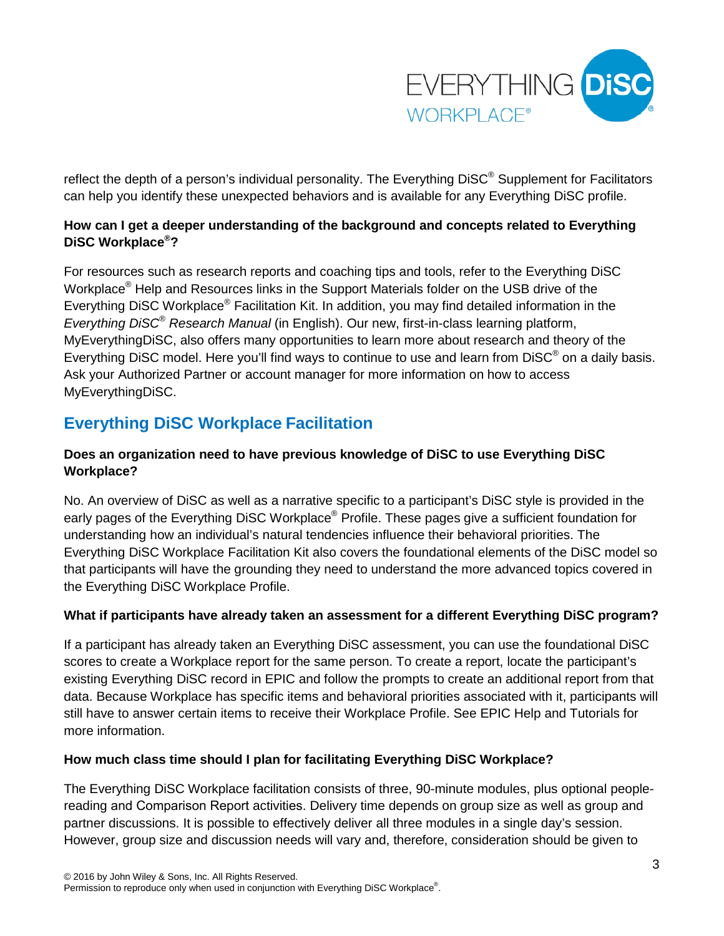

reflect the depth of a person's individual personality. The Everything DiSC<sup>®</sup> Supplement for Facilitators can help you identify these unexpected behaviors and is available for any Everything DiSC profile.

# **How can I get a deeper understanding of the background and concepts related to Everything DiSC Workplace®?**

For resources such as research reports and coaching tips and tools, refer to the Everything DiSC Workplace® Help and Resources links in the Support Materials folder on the USB drive of the Everything DiSC Workplace® Facilitation Kit. In addition, you may find detailed information in the *Everything DiSC® Research Manual* (in English). Our new, first-in-class learning platform, MyEverythingDiSC, also offers many opportunities to learn more about research and theory of the Everything DiSC model. Here you'll find ways to continue to use and learn from DiSC® on a daily basis. Ask your Authorized Partner or account manager for more information on how to access MyEverythingDiSC.

# **Everything DiSC Workplace Facilitation**

## **Does an organization need to have previous knowledge of DiSC to use Everything DiSC Workplace?**

No. An overview of DiSC as well as a narrative specific to a participant's DiSC style is provided in the early pages of the Everything DiSC Workplace® Profile. These pages give a sufficient foundation for understanding how an individual's natural tendencies influence their behavioral priorities. The Everything DiSC Workplace Facilitation Kit also covers the foundational elements of the DiSC model so that participants will have the grounding they need to understand the more advanced topics covered in the Everything DiSC Workplace Profile.

## **What if participants have already taken an assessment for a different Everything DiSC program?**

If a participant has already taken an Everything DiSC assessment, you can use the foundational DiSC scores to create a Workplace report for the same person. To create a report, locate the participant's existing Everything DiSC record in EPIC and follow the prompts to create an additional report from that data. Because Workplace has specific items and behavioral priorities associated with it, participants will still have to answer certain items to receive their Workplace Profile. See EPIC Help and Tutorials for more information.

#### **How much class time should I plan for facilitating Everything DiSC Workplace?**

The Everything DiSC Workplace facilitation consists of three, 90-minute modules, plus optional peoplereading and Comparison Report activities. Delivery time depends on group size as well as group and partner discussions. It is possible to effectively deliver all three modules in a single day's session. However, group size and discussion needs will vary and, therefore, consideration should be given to